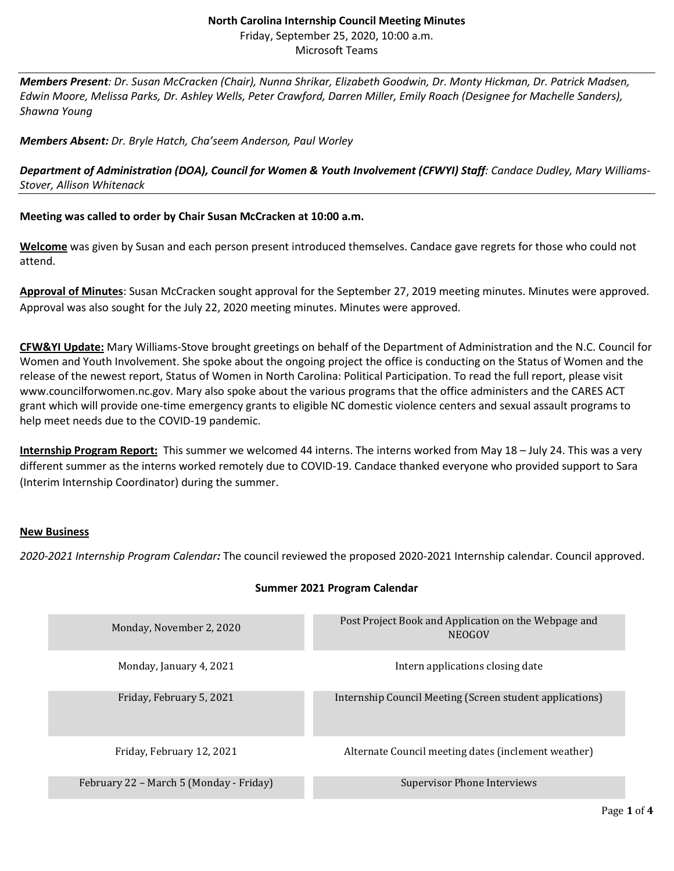#### **North Carolina Internship Council Meeting Minutes** Friday, September 25, 2020, 10:00 a.m. Microsoft Teams

*Members Present: Dr. Susan McCracken (Chair), Nunna Shrikar, Elizabeth Goodwin, Dr. Monty Hickman, Dr. Patrick Madsen, Edwin Moore, Melissa Parks, Dr. Ashley Wells, Peter Crawford, Darren Miller, Emily Roach (Designee for Machelle Sanders), Shawna Young*

### *Members Absent: Dr. Bryle Hatch, Cha'seem Anderson, Paul Worley*

*Department of Administration (DOA), Council for Women & Youth Involvement (CFWYI) Staff: Candace Dudley, Mary Williams-Stover, Allison Whitenack*

## **Meeting was called to order by Chair Susan McCracken at 10:00 a.m.**

**Welcome** was given by Susan and each person present introduced themselves. Candace gave regrets for those who could not attend.

**Approval of Minutes**: Susan McCracken sought approval for the September 27, 2019 meeting minutes. Minutes were approved. Approval was also sought for the July 22, 2020 meeting minutes. Minutes were approved.

**CFW&YI Update:** Mary Williams-Stove brought greetings on behalf of the Department of Administration and the N.C. Council for Women and Youth Involvement. She spoke about the ongoing project the office is conducting on the Status of Women and the release of the newest report, Status of Women in North Carolina: Political Participation. To read the full report, please visit www.councilforwomen.nc.gov. Mary also spoke about the various programs that the office administers and the CARES ACT grant which will provide one-time emergency grants to eligible NC domestic violence centers and sexual assault programs to help meet needs due to the COVID-19 pandemic.

**Internship Program Report:** This summer we welcomed 44 interns. The interns worked from May 18 – July 24. This was a very different summer as the interns worked remotely due to COVID-19. Candace thanked everyone who provided support to Sara (Interim Internship Coordinator) during the summer.

### **New Business**

*2020-2021 Internship Program Calendar:* The council reviewed the proposed 2020-2021 Internship calendar. Council approved.

| Monday, November 2, 2020                | Post Project Book and Application on the Webpage and<br><b>NEOGOV</b> |
|-----------------------------------------|-----------------------------------------------------------------------|
| Monday, January 4, 2021                 | Intern applications closing date                                      |
| Friday, February 5, 2021                | Internship Council Meeting (Screen student applications)              |
| Friday, February 12, 2021               | Alternate Council meeting dates (inclement weather)                   |
| February 22 – March 5 (Monday - Friday) | Supervisor Phone Interviews                                           |

# **Summer 2021 Program Calendar**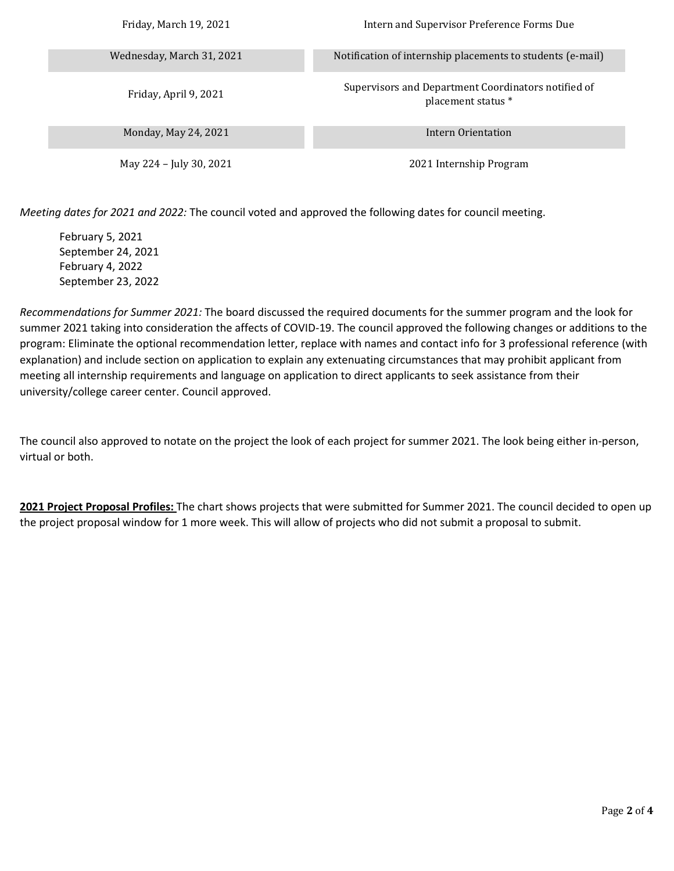| Friday, March 19, 2021    | Intern and Supervisor Preference Forms Due                                |
|---------------------------|---------------------------------------------------------------------------|
| Wednesday, March 31, 2021 | Notification of internship placements to students (e-mail)                |
| Friday, April 9, 2021     | Supervisors and Department Coordinators notified of<br>placement status * |
| Monday, May 24, 2021      | Intern Orientation                                                        |
| May 224 – July 30, 2021   | 2021 Internship Program                                                   |

*Meeting dates for 2021 and 2022:* The council voted and approved the following dates for council meeting.

February 5, 2021 September 24, 2021 February 4, 2022 September 23, 2022

*Recommendations for Summer 2021:* The board discussed the required documents for the summer program and the look for summer 2021 taking into consideration the affects of COVID-19. The council approved the following changes or additions to the program: Eliminate the optional recommendation letter, replace with names and contact info for 3 professional reference (with explanation) and include section on application to explain any extenuating circumstances that may prohibit applicant from meeting all internship requirements and language on application to direct applicants to seek assistance from their university/college career center. Council approved.

The council also approved to notate on the project the look of each project for summer 2021. The look being either in-person, virtual or both.

**2021 Project Proposal Profiles:** The chart shows projects that were submitted for Summer 2021. The council decided to open up the project proposal window for 1 more week. This will allow of projects who did not submit a proposal to submit.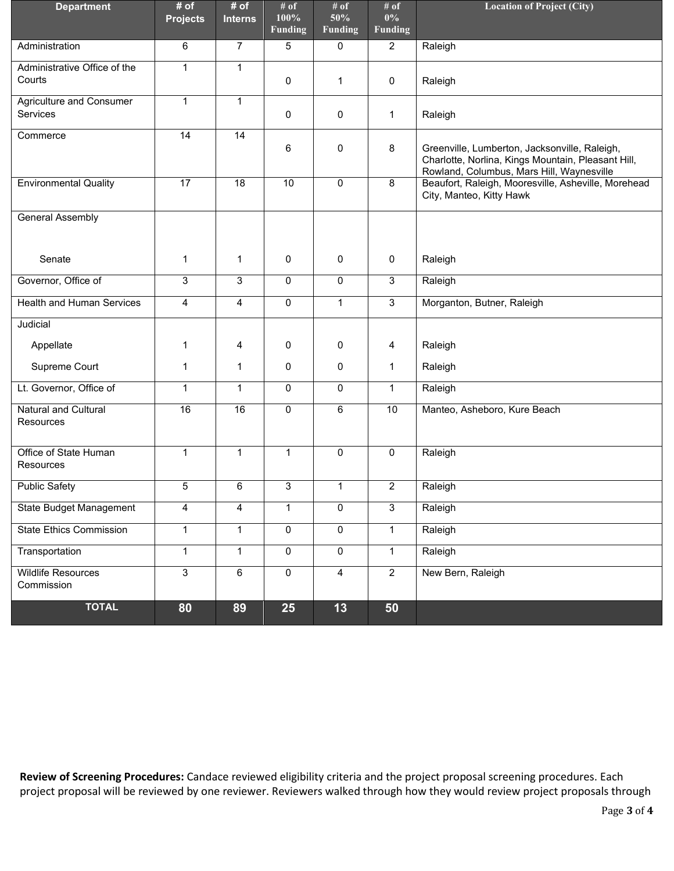| <b>Department</b>                        | # of<br><b>Projects</b> | # of<br><b>Interns</b> | # of<br>100%<br><b>Funding</b> | # of<br>50%<br><b>Funding</b> | # of<br>$0\%$<br><b>Funding</b> | <b>Location of Project (City)</b>                                                                                                                |
|------------------------------------------|-------------------------|------------------------|--------------------------------|-------------------------------|---------------------------------|--------------------------------------------------------------------------------------------------------------------------------------------------|
| Administration                           | 6                       | $\overline{7}$         | 5                              | 0                             | $\overline{2}$                  | Raleigh                                                                                                                                          |
| Administrative Office of the<br>Courts   | $\mathbf{1}$            | $\mathbf{1}$           | 0                              | 1                             | 0                               | Raleigh                                                                                                                                          |
| Agriculture and Consumer<br>Services     | $\mathbf{1}$            | $\mathbf{1}$           | $\mathbf 0$                    | $\mathbf 0$                   | $\mathbf{1}$                    | Raleigh                                                                                                                                          |
| Commerce                                 | $\overline{14}$         | $\overline{14}$        | 6                              | $\mathbf 0$                   | 8                               | Greenville, Lumberton, Jacksonville, Raleigh,<br>Charlotte, Norlina, Kings Mountain, Pleasant Hill,<br>Rowland, Columbus, Mars Hill, Waynesville |
| <b>Environmental Quality</b>             | $\overline{17}$         | 18                     | 10                             | $\mathbf 0$                   | 8                               | Beaufort, Raleigh, Mooresville, Asheville, Morehead<br>City, Manteo, Kitty Hawk                                                                  |
| <b>General Assembly</b>                  |                         |                        |                                |                               |                                 |                                                                                                                                                  |
| Senate                                   | 1                       | 1                      | 0                              | 0                             | 0                               | Raleigh                                                                                                                                          |
| Governor, Office of                      | 3                       | 3                      | $\overline{0}$                 | 0                             | 3                               | Raleigh                                                                                                                                          |
| <b>Health and Human Services</b>         | 4                       | 4                      | $\mathbf 0$                    | $\mathbf{1}$                  | $\overline{3}$                  | Morganton, Butner, Raleigh                                                                                                                       |
| Judicial                                 |                         |                        |                                |                               |                                 |                                                                                                                                                  |
| Appellate                                | 1                       | 4                      | $\mathbf 0$                    | 0                             | 4                               | Raleigh                                                                                                                                          |
| Supreme Court                            | 1                       | $\mathbf{1}$           | $\mathbf 0$                    | $\mathbf 0$                   | $\mathbf{1}$                    | Raleigh                                                                                                                                          |
| Lt. Governor, Office of                  | 1                       | 1                      | $\mathbf 0$                    | $\mathbf 0$                   | $\mathbf{1}$                    | Raleigh                                                                                                                                          |
| <b>Natural and Cultural</b><br>Resources | 16                      | $\overline{16}$        | $\overline{0}$                 | 6                             | 10                              | Manteo, Asheboro, Kure Beach                                                                                                                     |
| Office of State Human<br>Resources       | $\mathbf{1}$            | $\mathbf{1}$           | $\mathbf{1}$                   | $\mathbf 0$                   | 0                               | Raleigh                                                                                                                                          |
| <b>Public Safety</b>                     | 5                       | 6                      | 3                              | $\mathbf{1}$                  | $\overline{2}$                  | Raleigh                                                                                                                                          |
| <b>State Budget Management</b>           | 4                       | 4                      | $\mathbf{1}$                   | $\overline{0}$                | $\overline{3}$                  | Raleigh                                                                                                                                          |
| <b>State Ethics Commission</b>           | $\mathbf{1}$            | $\mathbf{1}$           | $\overline{0}$                 | $\overline{0}$                | $\mathbf{1}$                    | Raleigh                                                                                                                                          |
| Transportation                           | $\mathbf{1}$            | $\mathbf{1}$           | $\overline{0}$                 | 0                             | $\mathbf{1}$                    | Raleigh                                                                                                                                          |
| <b>Wildlife Resources</b><br>Commission  | $\overline{3}$          | 6                      | $\mathsf{O}\xspace$            | $\overline{4}$                | $\overline{2}$                  | New Bern, Raleigh                                                                                                                                |
| <b>TOTAL</b>                             | 80                      | 89                     | <b>25</b>                      | $13$                          | 50                              |                                                                                                                                                  |

**Review of Screening Procedures:** Candace reviewed eligibility criteria and the project proposal screening procedures. Each project proposal will be reviewed by one reviewer. Reviewers walked through how they would review project proposals through